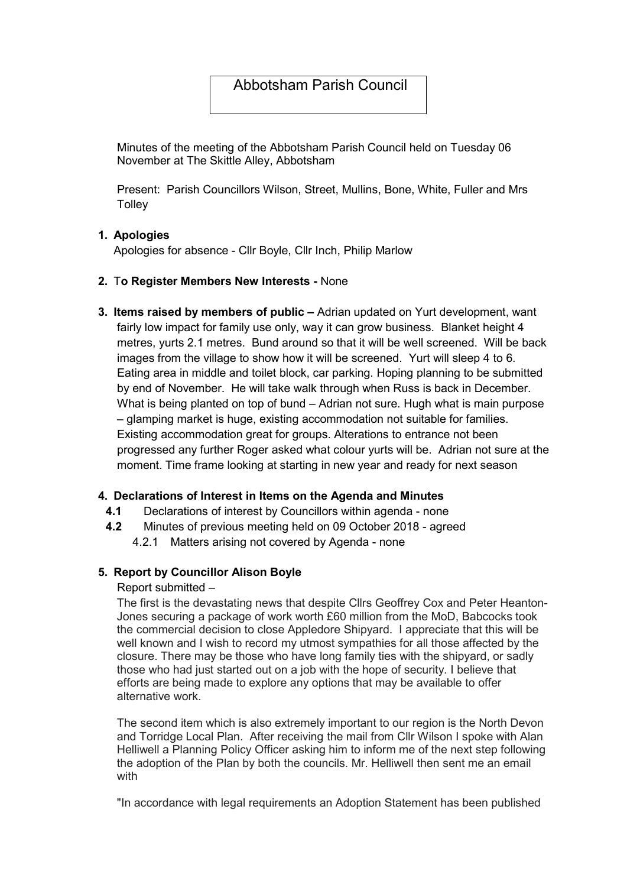# Abbotsham Parish Council

Minutes of the meeting of the Abbotsham Parish Council held on Tuesday 06 November at The Skittle Alley, Abbotsham

Present: Parish Councillors Wilson, Street, Mullins, Bone, White, Fuller and Mrs **Tolley** 

## 1. Apologies

Apologies for absence - Cllr Boyle, Cllr Inch, Philip Marlow

## 2. To Register Members New Interests - None

3. Items raised by members of public – Adrian updated on Yurt development, want fairly low impact for family use only, way it can grow business. Blanket height 4 metres, yurts 2.1 metres. Bund around so that it will be well screened. Will be back images from the village to show how it will be screened. Yurt will sleep 4 to 6. Eating area in middle and toilet block, car parking. Hoping planning to be submitted by end of November. He will take walk through when Russ is back in December. What is being planted on top of bund – Adrian not sure. Hugh what is main purpose – glamping market is huge, existing accommodation not suitable for families. Existing accommodation great for groups. Alterations to entrance not been progressed any further Roger asked what colour yurts will be. Adrian not sure at the moment. Time frame looking at starting in new year and ready for next season

#### 4. Declarations of Interest in Items on the Agenda and Minutes

- 4.1 Declarations of interest by Councillors within agenda none
- 4.2 Minutes of previous meeting held on 09 October 2018 agreed
	- 4.2.1 Matters arising not covered by Agenda none

#### 5. Report by Councillor Alison Boyle

#### Report submitted –

The first is the devastating news that despite Cllrs Geoffrey Cox and Peter Heanton-Jones securing a package of work worth £60 million from the MoD, Babcocks took the commercial decision to close Appledore Shipyard. I appreciate that this will be well known and I wish to record my utmost sympathies for all those affected by the closure. There may be those who have long family ties with the shipyard, or sadly those who had just started out on a job with the hope of security. I believe that efforts are being made to explore any options that may be available to offer alternative work.

The second item which is also extremely important to our region is the North Devon and Torridge Local Plan. After receiving the mail from Cllr Wilson I spoke with Alan Helliwell a Planning Policy Officer asking him to inform me of the next step following the adoption of the Plan by both the councils. Mr. Helliwell then sent me an email with

"In accordance with legal requirements an Adoption Statement has been published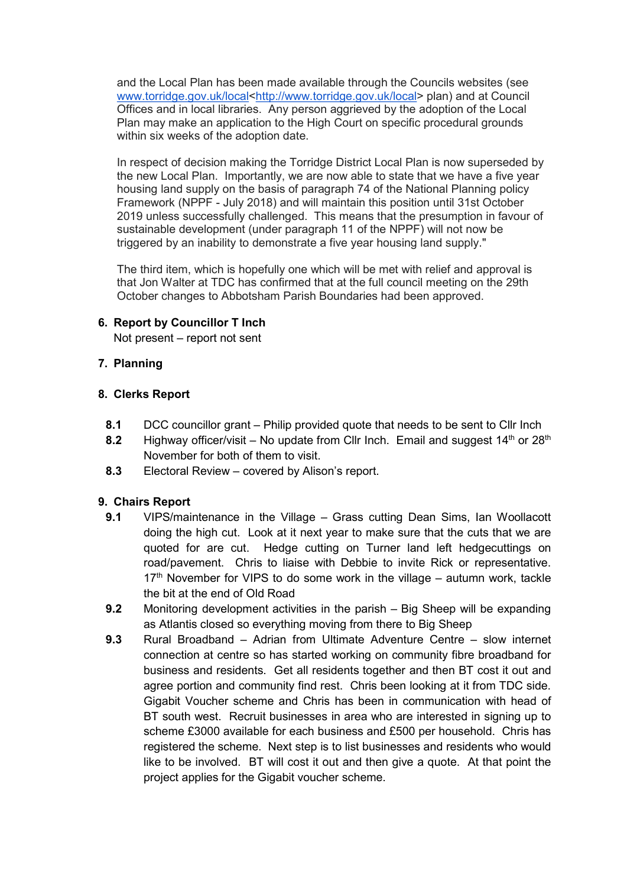and the Local Plan has been made available through the Councils websites (see www.torridge.gov.uk/local<http://www.torridge.gov.uk/local> plan) and at Council Offices and in local libraries. Any person aggrieved by the adoption of the Local Plan may make an application to the High Court on specific procedural grounds within six weeks of the adoption date.

In respect of decision making the Torridge District Local Plan is now superseded by the new Local Plan. Importantly, we are now able to state that we have a five year housing land supply on the basis of paragraph 74 of the National Planning policy Framework (NPPF - July 2018) and will maintain this position until 31st October 2019 unless successfully challenged. This means that the presumption in favour of sustainable development (under paragraph 11 of the NPPF) will not now be triggered by an inability to demonstrate a five year housing land supply."

The third item, which is hopefully one which will be met with relief and approval is that Jon Walter at TDC has confirmed that at the full council meeting on the 29th October changes to Abbotsham Parish Boundaries had been approved.

## 6. Report by Councillor T Inch

Not present – report not sent

## 7. Planning

#### 8. Clerks Report

- 8.1 DCC councillor grant Philip provided quote that needs to be sent to Cllr Inch
- 8.2 Highway officer/visit No update from Cllr Inch. Email and suggest  $14<sup>th</sup>$  or  $28<sup>th</sup>$ November for both of them to visit.
- 8.3 Electoral Review covered by Alison's report.

#### 9. Chairs Report

- 9.1 VIPS/maintenance in the Village Grass cutting Dean Sims, Ian Woollacott doing the high cut. Look at it next year to make sure that the cuts that we are quoted for are cut. Hedge cutting on Turner land left hedgecuttings on road/pavement. Chris to liaise with Debbie to invite Rick or representative.  $17<sup>th</sup>$  November for VIPS to do some work in the village – autumn work, tackle the bit at the end of Old Road
- 9.2 Monitoring development activities in the parish Big Sheep will be expanding as Atlantis closed so everything moving from there to Big Sheep
- 9.3 Rural Broadband Adrian from Ultimate Adventure Centre slow internet connection at centre so has started working on community fibre broadband for business and residents. Get all residents together and then BT cost it out and agree portion and community find rest. Chris been looking at it from TDC side. Gigabit Voucher scheme and Chris has been in communication with head of BT south west. Recruit businesses in area who are interested in signing up to scheme £3000 available for each business and £500 per household. Chris has registered the scheme. Next step is to list businesses and residents who would like to be involved. BT will cost it out and then give a quote. At that point the project applies for the Gigabit voucher scheme.